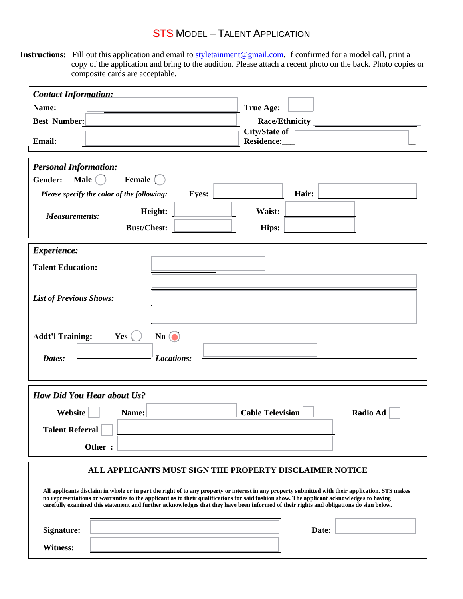## STS MODEL – TALENT APPLICATION

**Instructions:** Fill out this application and email to styletainment@gmail.com. If confirmed for a model call, print a copy of the application and bring to the audition. Please attach a recent photo on the back. Photo copies or composite cards are acceptable.

| <b>True Age:</b><br>Name:<br>Race/Ethnicity<br><b>Best Number:</b><br><b>City/State of</b><br>Email:<br>Residence:<br><b>Personal Information:</b><br>Male $\bigcap$<br>Female (<br>Gender:<br>Hair:<br><b>Eyes:</b><br>Please specify the color of the following:<br>Height:<br>Waist:<br><b>Measurements:</b><br><b>Bust/Chest:</b><br>Hips:<br>Experience:<br><b>Talent Education:</b><br><b>List of Previous Shows:</b><br>$No$ $\odot$<br><b>Addt'l Training:</b><br>Yes<br>Dates:<br>Locations:<br><b>How Did You Hear about Us?</b><br><b>Cable Television</b><br><b>Radio Ad</b><br>Website<br>Name:<br><b>Talent Referral</b><br>Other:<br>ALL APPLICANTS MUST SIGN THE PROPERTY DISCLAIMER NOTICE<br>All applicants disclaim in whole or in part the right of to any property or interest in any property submitted with their application. STS makes<br>no representations or warranties to the applicant as to their qualifications for said fashion show. The applicant acknowledges to having<br>carefully examined this statement and further acknowledges that they have been informed of their rights and obligations do sign below.<br><b>Signature:</b><br>Date:<br><b>Witness:</b> | <b>Contact Information:</b> |  |  |
|--------------------------------------------------------------------------------------------------------------------------------------------------------------------------------------------------------------------------------------------------------------------------------------------------------------------------------------------------------------------------------------------------------------------------------------------------------------------------------------------------------------------------------------------------------------------------------------------------------------------------------------------------------------------------------------------------------------------------------------------------------------------------------------------------------------------------------------------------------------------------------------------------------------------------------------------------------------------------------------------------------------------------------------------------------------------------------------------------------------------------------------------------------------------------------------------------------|-----------------------------|--|--|
|                                                                                                                                                                                                                                                                                                                                                                                                                                                                                                                                                                                                                                                                                                                                                                                                                                                                                                                                                                                                                                                                                                                                                                                                        |                             |  |  |
|                                                                                                                                                                                                                                                                                                                                                                                                                                                                                                                                                                                                                                                                                                                                                                                                                                                                                                                                                                                                                                                                                                                                                                                                        |                             |  |  |
|                                                                                                                                                                                                                                                                                                                                                                                                                                                                                                                                                                                                                                                                                                                                                                                                                                                                                                                                                                                                                                                                                                                                                                                                        |                             |  |  |
|                                                                                                                                                                                                                                                                                                                                                                                                                                                                                                                                                                                                                                                                                                                                                                                                                                                                                                                                                                                                                                                                                                                                                                                                        |                             |  |  |
|                                                                                                                                                                                                                                                                                                                                                                                                                                                                                                                                                                                                                                                                                                                                                                                                                                                                                                                                                                                                                                                                                                                                                                                                        |                             |  |  |
|                                                                                                                                                                                                                                                                                                                                                                                                                                                                                                                                                                                                                                                                                                                                                                                                                                                                                                                                                                                                                                                                                                                                                                                                        |                             |  |  |
|                                                                                                                                                                                                                                                                                                                                                                                                                                                                                                                                                                                                                                                                                                                                                                                                                                                                                                                                                                                                                                                                                                                                                                                                        |                             |  |  |
|                                                                                                                                                                                                                                                                                                                                                                                                                                                                                                                                                                                                                                                                                                                                                                                                                                                                                                                                                                                                                                                                                                                                                                                                        |                             |  |  |
|                                                                                                                                                                                                                                                                                                                                                                                                                                                                                                                                                                                                                                                                                                                                                                                                                                                                                                                                                                                                                                                                                                                                                                                                        |                             |  |  |
|                                                                                                                                                                                                                                                                                                                                                                                                                                                                                                                                                                                                                                                                                                                                                                                                                                                                                                                                                                                                                                                                                                                                                                                                        |                             |  |  |
|                                                                                                                                                                                                                                                                                                                                                                                                                                                                                                                                                                                                                                                                                                                                                                                                                                                                                                                                                                                                                                                                                                                                                                                                        |                             |  |  |
|                                                                                                                                                                                                                                                                                                                                                                                                                                                                                                                                                                                                                                                                                                                                                                                                                                                                                                                                                                                                                                                                                                                                                                                                        |                             |  |  |
|                                                                                                                                                                                                                                                                                                                                                                                                                                                                                                                                                                                                                                                                                                                                                                                                                                                                                                                                                                                                                                                                                                                                                                                                        |                             |  |  |
|                                                                                                                                                                                                                                                                                                                                                                                                                                                                                                                                                                                                                                                                                                                                                                                                                                                                                                                                                                                                                                                                                                                                                                                                        |                             |  |  |
|                                                                                                                                                                                                                                                                                                                                                                                                                                                                                                                                                                                                                                                                                                                                                                                                                                                                                                                                                                                                                                                                                                                                                                                                        |                             |  |  |
|                                                                                                                                                                                                                                                                                                                                                                                                                                                                                                                                                                                                                                                                                                                                                                                                                                                                                                                                                                                                                                                                                                                                                                                                        |                             |  |  |
|                                                                                                                                                                                                                                                                                                                                                                                                                                                                                                                                                                                                                                                                                                                                                                                                                                                                                                                                                                                                                                                                                                                                                                                                        |                             |  |  |
|                                                                                                                                                                                                                                                                                                                                                                                                                                                                                                                                                                                                                                                                                                                                                                                                                                                                                                                                                                                                                                                                                                                                                                                                        |                             |  |  |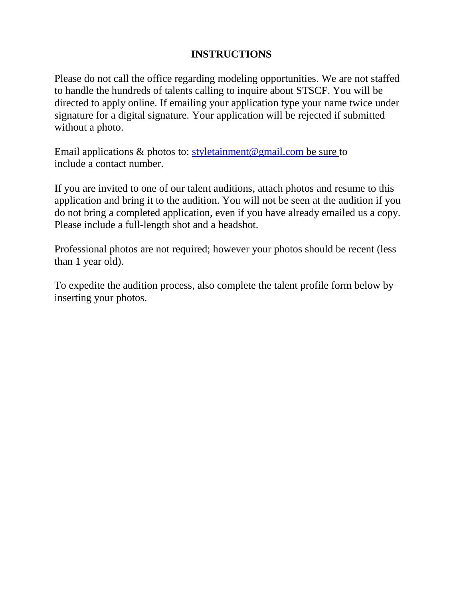## **INSTRUCTIONS**

Please do not call the office regarding modeling opportunities. We are not staffed to handle the hundreds of talents calling to inquire about STSCF. You will be directed to apply online. If emailing your application type your name twice under signature for a digital signature. Your application will be rejected if submitted without a photo.

Email applications  $\&$  photos to: styletainment@gmail.com be sure to include a contact number.

If you are invited to one of our talent auditions, attach photos and resume to this application and bring it to the audition. You will not be seen at the audition if you do not bring a completed application, even if you have already emailed us a copy. Please include a full-length shot and a headshot.

Professional photos are not required; however your photos should be recent (less than 1 year old).

To expedite the audition process, also complete the talent profile form below by inserting your photos.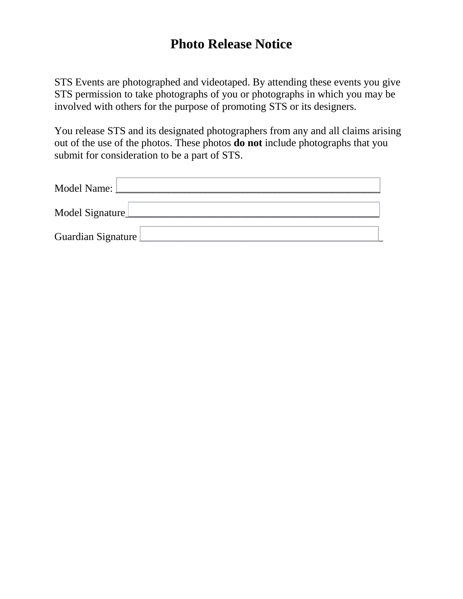## **Photo Release Notice**

STS Events are photographed and videotaped. By attending these events you give STS permission to take photographs of you or photographs in which you may be involved with others for the purpose of promoting STS or its designers.

You release STS and its designated photographers from any and all claims arising out of the use of the photos. These photos **do not** include photographs that you submit for consideration to be a part of STS.

| Model Name:        |
|--------------------|
| Model Signature    |
| Guardian Signature |